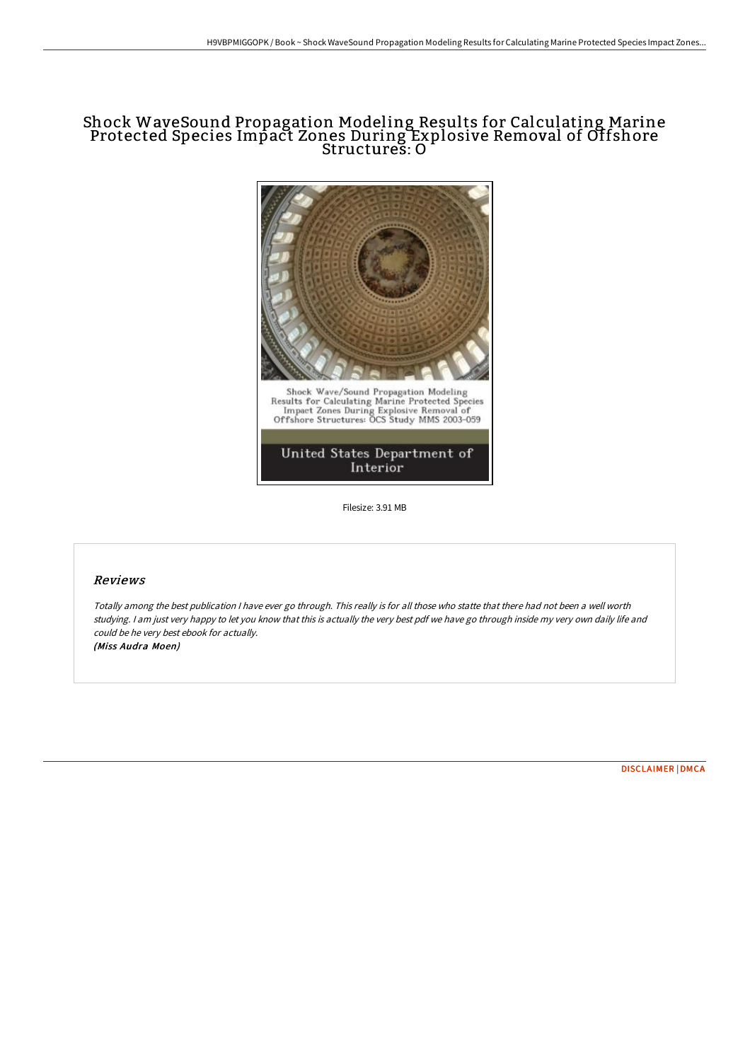# Shock WaveSound Propagation Modeling Results for Calculating Marine Protected Species Impact Zones During Explosive Removal of Offshore Structures: O



Filesize: 3.91 MB

### Reviews

Totally among the best publication <sup>I</sup> have ever go through. This really is for all those who statte that there had not been <sup>a</sup> well worth studying. <sup>I</sup> am just very happy to let you know that this is actually the very best pdf we have go through inside my very own daily life and could be he very best ebook for actually. (Miss Audra Moen)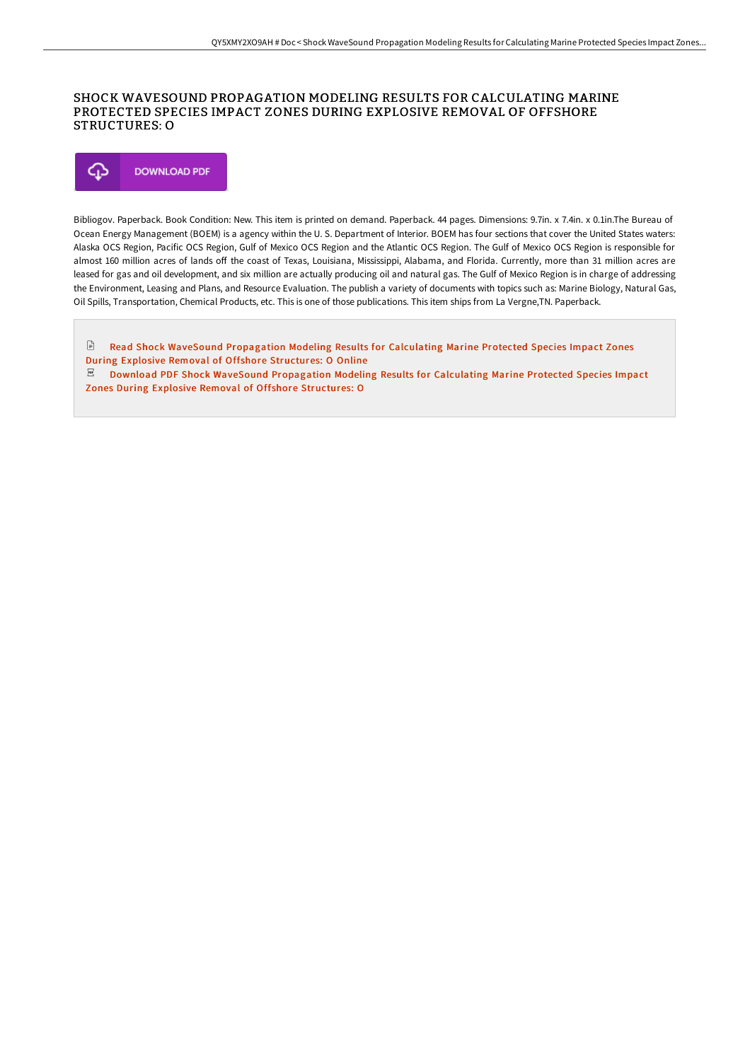### SHOCK WAVESOUND PROPAGATION MODELING RESULTS FOR CALCULATING MARINE PROTECTED SPECIES IMPACT ZONES DURING EXPLOSIVE REMOVAL OF OFFSHORE STRUCTURES: O



Bibliogov. Paperback. Book Condition: New. This item is printed on demand. Paperback. 44 pages. Dimensions: 9.7in. x 7.4in. x 0.1in.The Bureau of Ocean Energy Management (BOEM) is a agency within the U. S. Department of Interior. BOEM has four sections that cover the United States waters: Alaska OCS Region, Pacific OCS Region, Gulf of Mexico OCS Region and the Atlantic OCS Region. The Gulf of Mexico OCS Region is responsible for almost 160 million acres of lands off the coast of Texas, Louisiana, Mississippi, Alabama, and Florida. Currently, more than 31 million acres are leased for gas and oil development, and six million are actually producing oil and natural gas. The Gulf of Mexico Region is in charge of addressing the Environment, Leasing and Plans, and Resource Evaluation. The publish a variety of documents with topics such as: Marine Biology, Natural Gas, Oil Spills, Transportation, Chemical Products, etc. This is one of those publications. This item ships from La Vergne,TN. Paperback.

 $\Box$ Read Shock WaveSound [Propagation](http://albedo.media/shock-wavesound-propagation-modeling-results-for.html) Modeling Results for Calculating Marine Protected Species Impact Zones During Explosive Removal of Offshore Structures: O Online  $\mathbb E$  Download PDF Shock WaveSound [Propagation](http://albedo.media/shock-wavesound-propagation-modeling-results-for.html) Modeling Results for Calculating Marine Protected Species Impact Zones During Explosive Removal of Offshore Structures: O